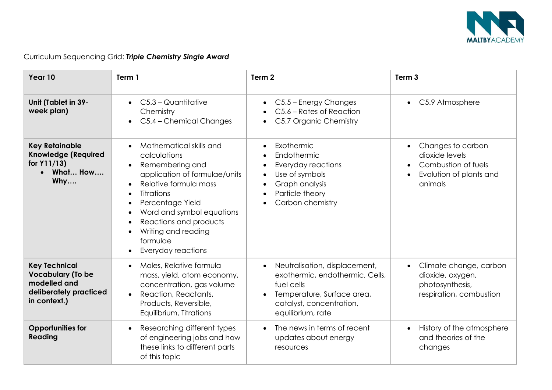

| Year 10                                                                                                    | Term 1                                                                                                                                                                                                                                                                        | Term <sub>2</sub>                                                                                                                                                                                        | Term <sub>3</sub>                                                                                                          |
|------------------------------------------------------------------------------------------------------------|-------------------------------------------------------------------------------------------------------------------------------------------------------------------------------------------------------------------------------------------------------------------------------|----------------------------------------------------------------------------------------------------------------------------------------------------------------------------------------------------------|----------------------------------------------------------------------------------------------------------------------------|
| Unit (Tablet in 39-<br>week plan)                                                                          | $C5.3 -$ Quantitative<br>Chemistry<br>C5.4 - Chemical Changes                                                                                                                                                                                                                 | C5.5 - Energy Changes<br>$\bullet$<br>C5.6 – Rates of Reaction<br>C5.7 Organic Chemistry                                                                                                                 | • C5.9 Atmosphere                                                                                                          |
| <b>Key Retainable</b><br><b>Knowledge (Required</b><br>for Y11/13)<br>What How<br>Why                      | Mathematical skills and<br>calculations<br>Remembering and<br>application of formulae/units<br>Relative formula mass<br><b>Titrations</b><br>Percentage Yield<br>Word and symbol equations<br>Reactions and products<br>Writing and reading<br>formulae<br>Everyday reactions | Exothermic<br>$\bullet$<br>Endothermic<br>$\bullet$<br>Everyday reactions<br>$\bullet$<br>Use of symbols<br>$\bullet$<br>Graph analysis<br>$\bullet$<br>Particle theory<br>$\bullet$<br>Carbon chemistry | Changes to carbon<br>$\bullet$<br>dioxide levels<br>Combustion of fuels<br>$\bullet$<br>Evolution of plants and<br>animals |
| <b>Key Technical</b><br><b>Vocabulary (To be</b><br>modelled and<br>deliberately practiced<br>in context.) | Moles, Relative formula<br>mass, yield, atom economy,<br>concentration, gas volume<br>Reaction, Reactants,<br>$\bullet$<br>Products, Reversible,<br>Equilibrium, Titrations                                                                                                   | Neutralisation, displacement,<br>$\bullet$<br>exothermic, endothermic, Cells,<br>fuel cells<br>Temperature, Surface area,<br>$\bullet$<br>catalyst, concentration,<br>equilibrium, rate                  | Climate change, carbon<br>$\bullet$<br>dioxide, oxygen,<br>photosynthesis,<br>respiration, combustion                      |
| <b>Opportunities for</b><br><b>Reading</b>                                                                 | Researching different types<br>$\bullet$<br>of engineering jobs and how<br>these links to different parts<br>of this topic                                                                                                                                                    | The news in terms of recent<br>$\bullet$<br>updates about energy<br>resources                                                                                                                            | History of the atmosphere<br>$\bullet$<br>and theories of the<br>changes                                                   |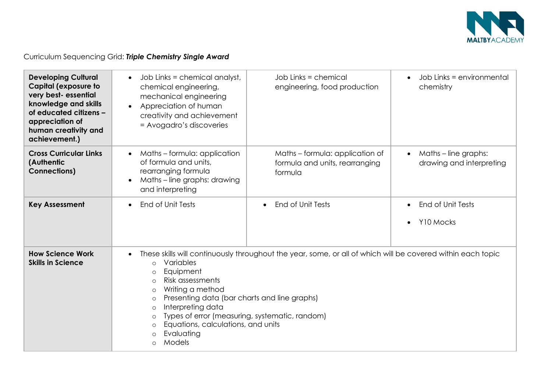

| <b>Developing Cultural</b><br><b>Capital (exposure to</b><br>very best- essential<br>knowledge and skills<br>of educated citizens -<br>appreciation of<br>human creativity and<br>achievement.) | Job Links = chemical analyst,<br>chemical engineering,<br>mechanical engineering<br>Appreciation of human<br>creativity and achievement<br>= Avogadro's discoveries                                                                                                                                                                                                                                                                                                                | Job Links = chemical<br>engineering, food production                         | Job Links = environmental<br>$\bullet$<br>chemistry           |
|-------------------------------------------------------------------------------------------------------------------------------------------------------------------------------------------------|------------------------------------------------------------------------------------------------------------------------------------------------------------------------------------------------------------------------------------------------------------------------------------------------------------------------------------------------------------------------------------------------------------------------------------------------------------------------------------|------------------------------------------------------------------------------|---------------------------------------------------------------|
| <b>Cross Curricular Links</b><br>(Authentic<br><b>Connections)</b>                                                                                                                              | Maths - formula: application<br>of formula and units,<br>rearranging formula<br>Maths – line graphs: drawing<br>and interpreting                                                                                                                                                                                                                                                                                                                                                   | Maths - formula: application of<br>formula and units, rearranging<br>formula | Maths - line graphs:<br>$\bullet$<br>drawing and interpreting |
| <b>Key Assessment</b>                                                                                                                                                                           | End of Unit Tests                                                                                                                                                                                                                                                                                                                                                                                                                                                                  | End of Unit Tests<br>$\bullet$                                               | End of Unit Tests<br>$\bullet$<br>Y10 Mocks<br>$\bullet$      |
| <b>How Science Work</b><br><b>Skills in Science</b>                                                                                                                                             | These skills will continuously throughout the year, some, or all of which will be covered within each topic<br>Variables<br>$\circ$<br>Equipment<br>$\circ$<br>Risk assessments<br>$\circ$<br>Writing a method<br>$\circ$<br>Presenting data (bar charts and line graphs)<br>$\circ$<br>Interpreting data<br>$\circ$<br>Types of error (measuring, systematic, random)<br>$\circ$<br>Equations, calculations, and units<br>$\circ$<br>Evaluating<br>$\Omega$<br>Models<br>$\Omega$ |                                                                              |                                                               |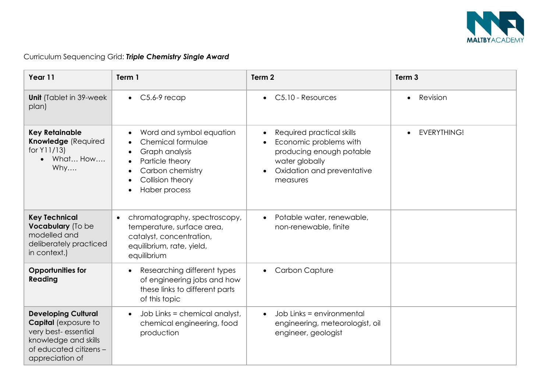

| Year 11                                                                                                                                               | Term 1                                                                                                                                           | Term <sub>2</sub>                                                                                                                                                                  | Term <sub>3</sub>     |
|-------------------------------------------------------------------------------------------------------------------------------------------------------|--------------------------------------------------------------------------------------------------------------------------------------------------|------------------------------------------------------------------------------------------------------------------------------------------------------------------------------------|-----------------------|
| <b>Unit</b> (Tablet in 39-week)<br>plan)                                                                                                              | $C5.6-9$ recap<br>$\bullet$                                                                                                                      | C5.10 - Resources<br>$\bullet$                                                                                                                                                     | Revision<br>$\bullet$ |
| <b>Key Retainable</b><br>Knowledge (Required<br>for Y11/13)<br>What How<br>Why                                                                        | Word and symbol equation<br>Chemical formulae<br>Graph analysis<br>Particle theory<br>Carbon chemistry<br>Collision theory<br>Haber process      | Required practical skills<br>$\bullet$<br>Economic problems with<br>$\bullet$<br>producing enough potable<br>water globally<br>Oxidation and preventative<br>$\bullet$<br>measures | <b>EVERYTHING!</b>    |
| <b>Key Technical</b><br>Vocabulary (To be<br>modelled and<br>deliberately practiced<br>in context.)                                                   | chromatography, spectroscopy,<br>$\bullet$<br>temperature, surface area,<br>catalyst, concentration,<br>equilibrium, rate, yield,<br>equilibrium | Potable water, renewable,<br>$\bullet$<br>non-renewable, finite                                                                                                                    |                       |
| <b>Opportunities for</b><br>Reading                                                                                                                   | Researching different types<br>$\bullet$<br>of engineering jobs and how<br>these links to different parts<br>of this topic                       | <b>Carbon Capture</b><br>$\bullet$                                                                                                                                                 |                       |
| <b>Developing Cultural</b><br><b>Capital</b> (exposure to<br>very best-essential<br>knowledge and skills<br>of educated citizens -<br>appreciation of | Job Links = chemical analyst,<br>chemical engineering, food<br>production                                                                        | Job Links = environmental<br>$\bullet$<br>engineering, meteorologist, oil<br>engineer, geologist                                                                                   |                       |